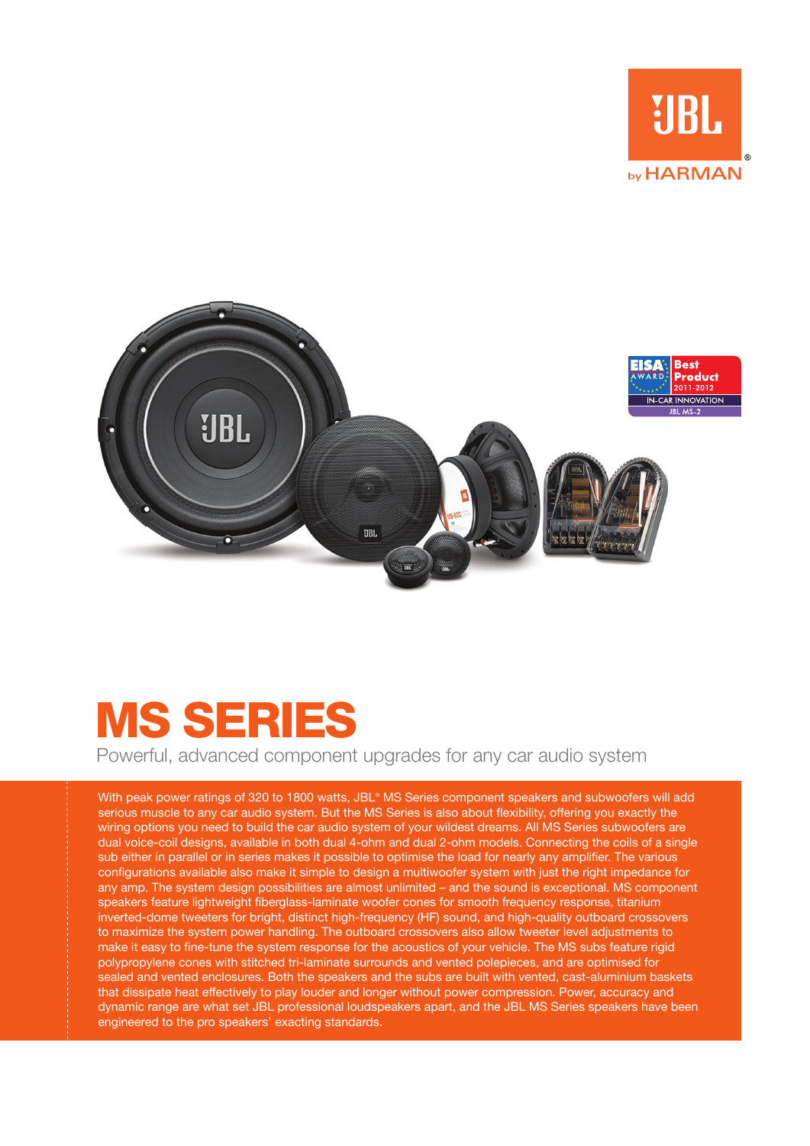



## MS Series

Powerful, advanced component upgrades for any car audio system

With peak power ratings of 320 to 1800 watts, JBL® MS Series component speakers and subwoofers will add serious muscle to any car audio system. But the MS Series is also about flexibility, offering you exactly the wiring options you need to build the car audio system of your wildest dreams. All MS Series subwoofers are dual voice-coil designs, available in both dual 4-ohm and dual 2-ohm models. Connecting the coils of a single sub either in parallel or in series makes it possible to optimise the load for nearly any amplifier. The various configurations available also make it simple to design a multiwoofer system with just the right impedance for any amp. The system design possibilities are almost unlimited – and the sound is exceptional. MS component speakers feature lightweight fiberglass-laminate woofer cones for smooth frequency response, titanium inverted-dome tweeters for bright, distinct high-frequency (HF) sound, and high-quality outboard crossovers to maximize the system power handling. The outboard crossovers also allow tweeter level adjustments to make it easy to fine-tune the system response for the acoustics of your vehicle. The MS subs feature rigid polypropylene cones with stitched tri-laminate surrounds and vented polepieces, and are optimised for sealed and vented enclosures. Both the speakers and the subs are built with vented, cast-aluminium baskets that dissipate heat effectively to play louder and longer without power compression. Power, accuracy and dynamic range are what set JBL professional loudspeakers apart, and the JBL MS Series speakers have been engineered to the pro speakers' exacting standards.